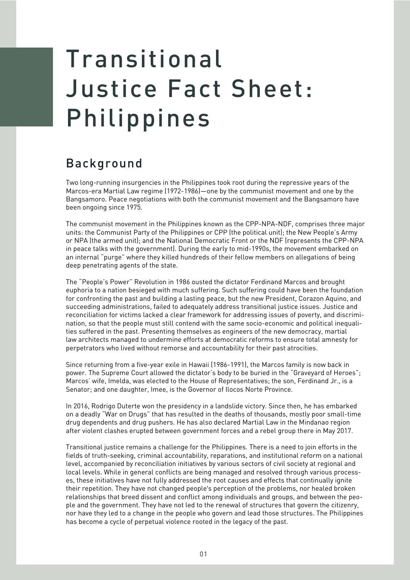## Transitional Justice Fact Sheet: Philippines

## Background

Two long-running insurgencies in the Philippines took root during the repressive years of the Marcos-era Martial Law regime (1972-1986)—one by the communist movement and one by the Bangsamoro. Peace negotiations with both the communist movement and the Bangsamoro have been ongoing since 1975.

The communist movement in the Philippines known as the CPP-NPA-NDF, comprises three major units: the Communist Party of the Philippines or CPP (the political unit); the New People's Army or NPA (the armed unit); and the National Democratic Front or the NDF (represents the CPP-NPA in peace talks with the government). During the early to mid-1990s, the movement embarked on an internal "purge" where they killed hundreds of their fellow members on allegations of being deep penetrating agents of the state.

The "People's Power" Revolution in 1986 ousted the dictator Ferdinand Marcos and brought euphoria to a nation besieged with much suffering. Such suffering could have been the foundation for confronting the past and building a lasting peace, but the new President, Corazon Aquino, and succeeding administrations, failed to adequately address transitional justice issues. Justice and reconciliation for victims lacked a clear framework for addressing issues of poverty, and discrimination, so that the people must still contend with the same socio-economic and political inequalities suffered in the past. Presenting themselves as engineers of the new democracy, martial law architects managed to undermine efforts at democratic reforms to ensure total amnesty for perpetrators who lived without remorse and accountability for their past atrocities.

Since returning from a five-year exile in Hawaii (1986-1991), the Marcos family is now back in power. The Supreme Court allowed the dictator's body to be buried in the "Graveyard of Heroes"; Marcos' wife, Imelda, was elected to the House of Representatives; the son, Ferdinand Jr., is a Senator; and one daughter, Imee, is the Governor of Ilocos Norte Province.

In 2016, Rodrigo Duterte won the presidency in a landslide victory. Since then, he has embarked on a deadly "War on Drugs" that has resulted in the deaths of thousands, mostly poor small-time drug dependents and drug pushers. He has also declared Martial Law in the Mindanao region after violent clashes erupted between government forces and a rebel group there in May 2017.

Transitional justice remains a challenge for the Philippines. There is a need to join efforts in the fields of truth-seeking, criminal accountability, reparations, and institutional reform on a national level, accompanied by reconciliation initiatives by various sectors of civil society at regional and local levels. While in general conflicts are being managed and resolved through various processes, these initiatives have not fully addressed the root causes and effects that continually ignite their repetition. They have not changed people's perception of the problems, nor healed broken relationships that breed dissent and conflict among individuals and groups, and between the people and the government. They have not led to the renewal of structures that govern the citizenry, nor have they led to a change in the people who govern and lead those structures. The Philippines has become a cycle of perpetual violence rooted in the legacy of the past.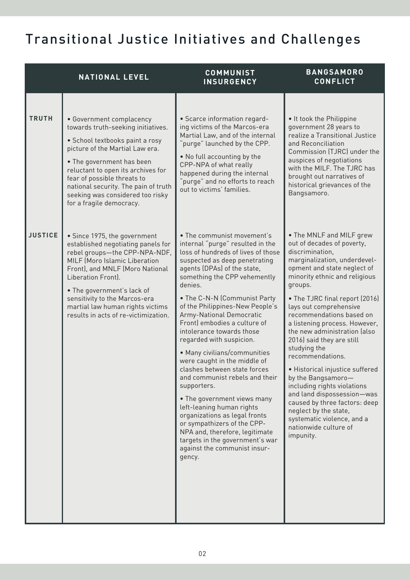## Transitional Justice Initiatives and Challenges

|                | <b>NATIONAL LEVEL</b>                                                                                                                                                                                                                                                                                                                          | <b>COMMUNIST</b><br><b>INSURGENCY</b>                                                                                                                                                                                                                                                                                                                                                                                                                                                                                                                                                                                                                                                                                                                                                               | <b>BANGSAMORO</b><br><b>CONFLICT</b>                                                                                                                                                                                                                                                                                                                                                                                                                                                                                                                                                                                                                               |
|----------------|------------------------------------------------------------------------------------------------------------------------------------------------------------------------------------------------------------------------------------------------------------------------------------------------------------------------------------------------|-----------------------------------------------------------------------------------------------------------------------------------------------------------------------------------------------------------------------------------------------------------------------------------------------------------------------------------------------------------------------------------------------------------------------------------------------------------------------------------------------------------------------------------------------------------------------------------------------------------------------------------------------------------------------------------------------------------------------------------------------------------------------------------------------------|--------------------------------------------------------------------------------------------------------------------------------------------------------------------------------------------------------------------------------------------------------------------------------------------------------------------------------------------------------------------------------------------------------------------------------------------------------------------------------------------------------------------------------------------------------------------------------------------------------------------------------------------------------------------|
| <b>TRUTH</b>   | • Government complacency<br>towards truth-seeking initiatives.<br>• School textbooks paint a rosy<br>picture of the Martial Law era.<br>• The government has been<br>reluctant to open its archives for<br>fear of possible threats to<br>national security. The pain of truth<br>seeking was considered too risky<br>for a fragile democracy. | • Scarce information regard-<br>ing victims of the Marcos-era<br>Martial Law, and of the internal<br>purge" launched by the CPP.<br>. No full accounting by the<br>CPP-NPA of what really<br>happened during the internal<br>purge" and no efforts to reach<br>out to victims' families.                                                                                                                                                                                                                                                                                                                                                                                                                                                                                                            | . It took the Philippine<br>government 28 years to<br>realize a Transitional Justice<br>and Reconciliation<br>Commission (TJRC) under the<br>auspices of negotiations<br>with the MILF. The TJRC has<br>brought out narratives of<br>historical grievances of the<br>Bangsamoro.                                                                                                                                                                                                                                                                                                                                                                                   |
| <b>JUSTICE</b> | • Since 1975, the government<br>established negotiating panels for<br>rebel groups-the CPP-NPA-NDF,<br>MILF (Moro Islamic Liberation<br>Front), and MNLF (Moro National<br>Liberation Front).<br>• The government's lack of<br>sensitivity to the Marcos-era<br>martial law human rights victims<br>results in acts of re-victimization.       | • The communist movement's<br>internal "purge" resulted in the<br>loss of hundreds of lives of those<br>suspected as deep penetrating<br>agents (DPAs) of the state,<br>something the CPP vehemently<br>denies.<br>• The C-N-N (Communist Party<br>of the Philippines-New People's<br>Army-National Democratic<br>Front) embodies a culture of<br>intolerance towards those<br>regarded with suspicion.<br>• Many civilians/communities<br>were caught in the middle of<br>clashes between state forces<br>and communist rebels and their<br>supporters.<br>• The government views many<br>left-leaning human rights<br>organizations as legal fronts<br>or sympathizers of the CPP-<br>NPA and, therefore, legitimate<br>targets in the government's war<br>against the communist insur-<br>gency. | • The MNLF and MILF grew<br>out of decades of poverty,<br>discrimination,<br>marginalization, underdevel-<br>opment and state neglect of<br>minority ethnic and religious<br>groups.<br>• The TJRC final report (2016)<br>lays out comprehensive<br>recommendations based on<br>a listening process. However,<br>the new administration (also<br>2016) said they are still<br>studying the<br>recommendations.<br>· Historical injustice suffered<br>by the Bangsamoro-<br>including rights violations<br>and land dispossession-was<br>caused by three factors: deep<br>neglect by the state,<br>systematic violence, and a<br>nationwide culture of<br>impunity. |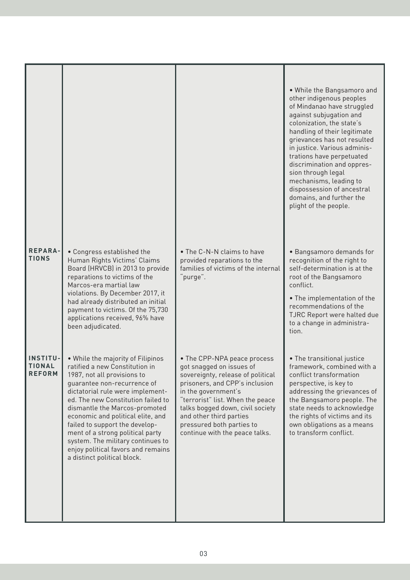|                                                   |                                                                                                                                                                                                                                                                                                                                                                                                                                                                   |                                                                                                                                                                                                                                                                                                                         | • While the Bangsamoro and<br>other indigenous peoples<br>of Mindanao have struggled<br>against subjugation and<br>colonization, the state's<br>handling of their legitimate<br>grievances has not resulted<br>in justice. Various adminis-<br>trations have perpetuated<br>discrimination and oppres-<br>sion through legal<br>mechanisms, leading to<br>dispossession of ancestral<br>domains, and further the<br>plight of the people. |
|---------------------------------------------------|-------------------------------------------------------------------------------------------------------------------------------------------------------------------------------------------------------------------------------------------------------------------------------------------------------------------------------------------------------------------------------------------------------------------------------------------------------------------|-------------------------------------------------------------------------------------------------------------------------------------------------------------------------------------------------------------------------------------------------------------------------------------------------------------------------|-------------------------------------------------------------------------------------------------------------------------------------------------------------------------------------------------------------------------------------------------------------------------------------------------------------------------------------------------------------------------------------------------------------------------------------------|
| <b>REPARA-</b><br><b>TIONS</b>                    | • Congress established the<br>Human Rights Victims' Claims<br>Board (HRVCB) in 2013 to provide<br>reparations to victims of the<br>Marcos-era martial law<br>violations. By December 2017, it<br>had already distributed an initial<br>payment to victims. Of the 75,730<br>applications received, 96% have<br>been adjudicated.                                                                                                                                  | • The C-N-N claims to have<br>provided reparations to the<br>families of victims of the internal<br>purge".                                                                                                                                                                                                             | • Bangsamoro demands for<br>recognition of the right to<br>self-determination is at the<br>root of the Bangsamoro<br>conflict.<br>• The implementation of the<br>recommendations of the<br>TJRC Report were halted due<br>to a change in administra-<br>tion.                                                                                                                                                                             |
| <b>INSTITU-</b><br><b>TIONAL</b><br><b>REFORM</b> | . While the majority of Filipinos<br>ratified a new Constitution in<br>1987, not all provisions to<br>quarantee non-recurrence of<br>dictatorial rule were implement-<br>ed. The new Constitution failed to<br>dismantle the Marcos-promoted<br>economic and political elite, and<br>failed to support the develop-<br>ment of a strong political party<br>system. The military continues to<br>enjoy political favors and remains<br>a distinct political block. | • The CPP-NPA peace process<br>got snagged on issues of<br>sovereignty, release of political<br>prisoners, and CPP's inclusion<br>in the government's<br>"terrorist" list. When the peace<br>talks bogged down, civil society<br>and other third parties<br>pressured both parties to<br>continue with the peace talks. | • The transitional justice<br>framework, combined with a<br>conflict transformation<br>perspective, is key to<br>addressing the grievances of<br>the Bangsamoro people. The<br>state needs to acknowledge<br>the rights of victims and its<br>own obligations as a means<br>to transform conflict.                                                                                                                                        |